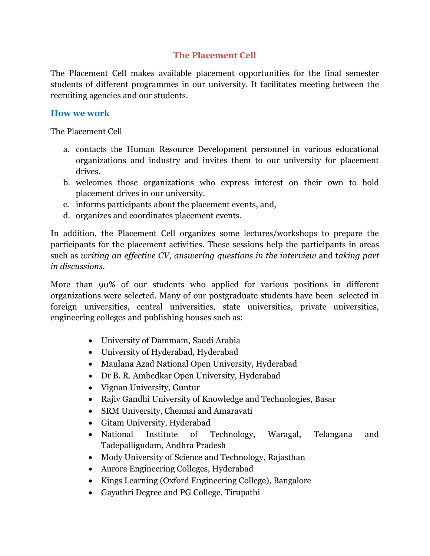## **The Placement Cell**

The Placement Cell makes available placement opportunities for the final semester students of different programmes in our university. It facilitates meeting between the recruiting agencies and our students.

# **How we work**

The Placement Cell

- a. contacts the Human Resource Development personnel in various educational organizations and industry and invites them to our university for placement drives.
- b. welcomes those organizations who express interest on their own to hold placement drives in our university.
- c. informs participants about the placement events, and,
- d. organizes and coordinates placement events.

In addition, the Placement Cell organizes some lectures/workshops to prepare the participants for the placement activities. These sessions help the participants in areas such as *writing an effective CV, answering questions in the interview* and t*aking part in discussions.* 

More than 90% of our students who applied for various positions in different organizations were selected. Many of our postgraduate students have been selected in foreign universities, central universities, state universities, private universities, engineering colleges and publishing houses such as:

- University of Dammam, Saudi Arabia
- University of Hyderabad, Hyderabad
- Maulana Azad National Open University, Hyderabad
- Dr B. R. Ambedkar Open University, Hyderabad
- Vignan University, Guntur
- Rajiv Gandhi University of Knowledge and Technologies, Basar
- SRM University, Chennai and Amaravati
- Gitam University, Hyderabad
- National Institute of Technology, Waragal, Telangana and Tadepalligudam, Andhra Pradesh
- Mody University of Science and Technology, Rajasthan
- Aurora Engineering Colleges, Hyderabad
- Kings Learning (Oxford Engineering College), Bangalore
- Gayathri Degree and PG College, Tirupathi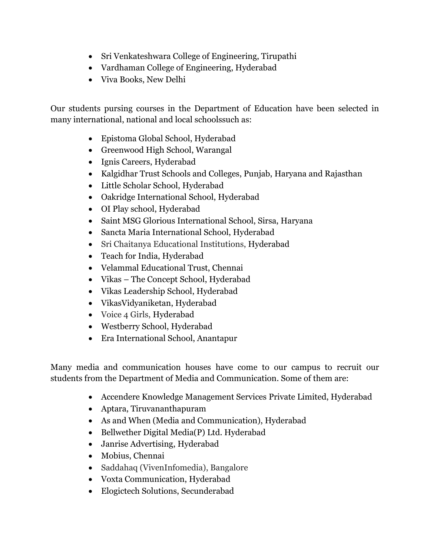- Sri Venkateshwara College of Engineering, Tirupathi
- Vardhaman College of Engineering, Hyderabad
- Viva Books, New Delhi

Our students pursing courses in the Department of Education have been selected in many international, national and local schoolssuch as:

- Epistoma Global School, Hyderabad
- Greenwood High School, Warangal
- Ignis Careers, Hyderabad
- Kalgidhar Trust Schools and Colleges, Punjab, Haryana and Rajasthan
- Little Scholar School, Hyderabad
- Oakridge International School, Hyderabad
- OI Play school, Hyderabad
- Saint MSG Glorious International School, Sirsa, Haryana
- Sancta Maria International School, Hyderabad
- Sri Chaitanya Educational Institutions, Hyderabad
- Teach for India, Hyderabad
- Velammal Educational Trust, Chennai
- Vikas The Concept School, Hyderabad
- Vikas Leadership School, Hyderabad
- VikasVidyaniketan, Hyderabad
- Voice 4 Girls, Hyderabad
- Westberry School, Hyderabad
- Era International School, Anantapur

Many media and communication houses have come to our campus to recruit our students from the Department of Media and Communication. Some of them are:

- Accendere Knowledge Management Services Private Limited, Hyderabad
- Aptara, Tiruvananthapuram
- As and When (Media and Communication), Hyderabad
- Bellwether Digital Media(P) Ltd. Hyderabad
- Janrise Advertising, Hyderabad
- Mobius, Chennai
- Saddahaq (VivenInfomedia), Bangalore
- Voxta Communication, Hyderabad
- Elogictech Solutions, Secunderabad